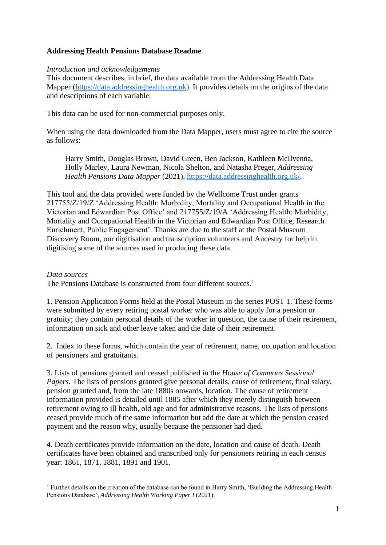# **Addressing Health Pensions Database Readme**

#### *Introduction and acknowledgements*

This document describes, in brief, the data available from the Addressing Health Data Mapper [\(https://data.addressinghealth.org.uk\)](https://data.addressinghealth.org.uk/). It provides details on the origins of the data and descriptions of each variable.

This data can be used for non-commercial purposes only.

When using the data downloaded from the Data Mapper, users must agree to cite the source as follows:

Harry Smith, Douglas Brown, David Green, Ben Jackson, Kathleen McIlvenna, Holly Marley, Laura Newman, Nicola Shelton, and Natasha Preger, *Addressing Health Pensions Data Mapper* (2021), [https://data.addressinghealth.org.uk/.](https://data.addressinghealth.org.uk/)

This tool and the data provided were funded by the Wellcome Trust under grants 217755/Z/19/Z 'Addressing Health: Morbidity, Mortality and Occupational Health in the Victorian and Edwardian Post Office' and 217755/Z/19/A 'Addressing Health: Morbidity, Mortality and Occupational Health in the Victorian and Edwardian Post Office, Research Enrichment, Public Engagement'. Thanks are due to the staff at the Postal Museum Discovery Room, our digitisation and transcription volunteers and Ancestry for help in digitising some of the sources used in producing these data.

#### *Data sources*

The Pensions Database is constructed from four different sources.<sup>1</sup>

1. Pension Application Forms held at the Postal Museum in the series POST 1. These forms were submitted by every retiring postal worker who was able to apply for a pension or gratuity; they contain personal details of the worker in question, the cause of their retirement, information on sick and other leave taken and the date of their retirement.

2. Index to these forms, which contain the year of retirement, name, occupation and location of pensioners and gratuitants.

3. Lists of pensions granted and ceased published in the *House of Commons Sessional Papers.* The lists of pensions granted give personal details, cause of retirement, final salary, pension granted and, from the late 1880s onwards, location. The cause of retirement information provided is detailed until 1885 after which they merely distinguish between retirement owing to ill health, old age and for administrative reasons. The lists of pensions ceased provide much of the same information but add the date at which the pension ceased payment and the reason why, usually because the pensioner had died.

4. Death certificates provide information on the date, location and cause of death. Death certificates have been obtained and transcribed only for pensioners retiring in each census year: 1861, 1871, 1881, 1891 and 1901.

<sup>&</sup>lt;sup>1</sup> Further details on the creation of the database can be found in Harry Smith, 'Building the Addressing Health Pensions Database', *Addressing Health Working Paper I* (2021).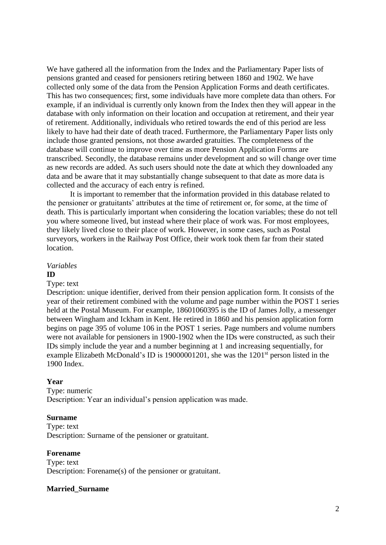We have gathered all the information from the Index and the Parliamentary Paper lists of pensions granted and ceased for pensioners retiring between 1860 and 1902. We have collected only some of the data from the Pension Application Forms and death certificates. This has two consequences; first, some individuals have more complete data than others. For example, if an individual is currently only known from the Index then they will appear in the database with only information on their location and occupation at retirement, and their year of retirement. Additionally, individuals who retired towards the end of this period are less likely to have had their date of death traced. Furthermore, the Parliamentary Paper lists only include those granted pensions, not those awarded gratuities. The completeness of the database will continue to improve over time as more Pension Application Forms are transcribed. Secondly, the database remains under development and so will change over time as new records are added. As such users should note the date at which they downloaded any data and be aware that it may substantially change subsequent to that date as more data is collected and the accuracy of each entry is refined.

It is important to remember that the information provided in this database related to the pensioner or gratuitants' attributes at the time of retirement or, for some, at the time of death. This is particularly important when considering the location variables; these do not tell you where someone lived, but instead where their place of work was. For most employees, they likely lived close to their place of work. However, in some cases, such as Postal surveyors, workers in the Railway Post Office, their work took them far from their stated location.

#### *Variables* **ID**

#### Type: text

Description: unique identifier, derived from their pension application form. It consists of the year of their retirement combined with the volume and page number within the POST 1 series held at the Postal Museum. For example, 18601060395 is the ID of James Jolly, a messenger between Wingham and Ickham in Kent. He retired in 1860 and his pension application form begins on page 395 of volume 106 in the POST 1 series. Page numbers and volume numbers were not available for pensioners in 1900-1902 when the IDs were constructed, as such their IDs simply include the year and a number beginning at 1 and increasing sequentially, for example Elizabeth McDonald's ID is 19000001201, she was the  $1201<sup>st</sup>$  person listed in the 1900 Index.

#### **Year**

# Type: numeric

Description: Year an individual's pension application was made.

#### **Surname**

Type: text Description: Surname of the pensioner or gratuitant.

#### **Forename**

Type: text Description: Forename(s) of the pensioner or gratuitant.

#### **Married\_Surname**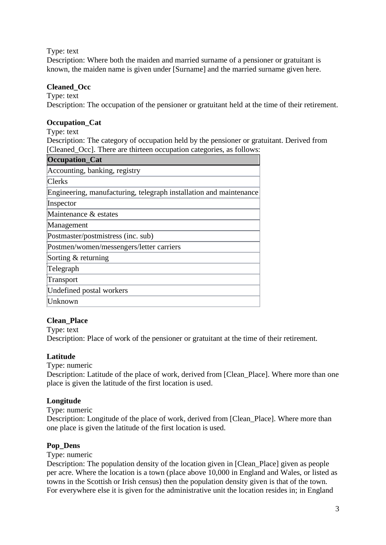Type: text

Description: Where both the maiden and married surname of a pensioner or gratuitant is known, the maiden name is given under [Surname] and the married surname given here.

# **Cleaned\_Occ**

Type: text

Description: The occupation of the pensioner or gratuitant held at the time of their retirement.

# **Occupation\_Cat**

Type: text

Description: The category of occupation held by the pensioner or gratuitant. Derived from [Cleaned\_Occ]. There are thirteen occupation categories, as follows:

| Occupation_Cat                                                     |
|--------------------------------------------------------------------|
| Accounting, banking, registry                                      |
| <b>Clerks</b>                                                      |
| Engineering, manufacturing, telegraph installation and maintenance |
| Inspector                                                          |
| Maintenance & estates                                              |
| Management                                                         |
| Postmaster/postmistress (inc. sub)                                 |
| Postmen/women/messengers/letter carriers                           |
| Sorting & returning                                                |
| Telegraph                                                          |
| Transport                                                          |
| Undefined postal workers                                           |
| Unknown                                                            |

# **Clean\_Place**

Type: text

Description: Place of work of the pensioner or gratuitant at the time of their retirement.

# **Latitude**

Type: numeric

Description: Latitude of the place of work, derived from [Clean\_Place]. Where more than one place is given the latitude of the first location is used.

# **Longitude**

Type: numeric

Description: Longitude of the place of work, derived from [Clean Place]. Where more than one place is given the latitude of the first location is used.

# **Pop\_Dens**

Type: numeric

Description: The population density of the location given in [Clean Place] given as people per acre. Where the location is a town (place above 10,000 in England and Wales, or listed as towns in the Scottish or Irish census) then the population density given is that of the town. For everywhere else it is given for the administrative unit the location resides in; in England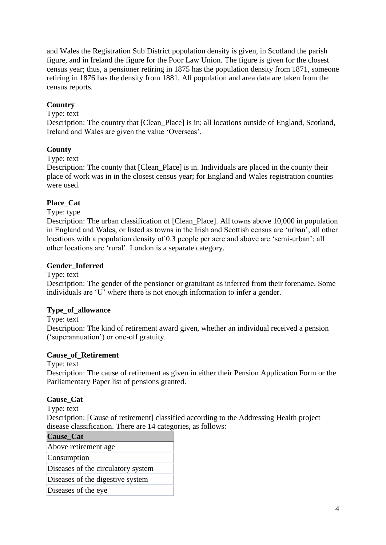and Wales the Registration Sub District population density is given, in Scotland the parish figure, and in Ireland the figure for the Poor Law Union. The figure is given for the closest census year; thus, a pensioner retiring in 1875 has the population density from 1871, someone retiring in 1876 has the density from 1881. All population and area data are taken from the census reports.

# **Country**

#### Type: text

Description: The country that [Clean\_Place] is in; all locations outside of England, Scotland, Ireland and Wales are given the value 'Overseas'.

# **County**

#### Type: text

Description: The county that [Clean\_Place] is in. Individuals are placed in the county their place of work was in in the closest census year; for England and Wales registration counties were used.

# **Place\_Cat**

Type: type

Description: The urban classification of [Clean Place]. All towns above 10,000 in population in England and Wales, or listed as towns in the Irish and Scottish census are 'urban'; all other locations with a population density of 0.3 people per acre and above are 'semi-urban'; all other locations are 'rural'. London is a separate category.

# **Gender\_Inferred**

Type: text

Description: The gender of the pensioner or gratuitant as inferred from their forename. Some individuals are 'U' where there is not enough information to infer a gender.

# **Type\_of\_allowance**

Type: text

Description: The kind of retirement award given, whether an individual received a pension ('superannuation') or one-off gratuity.

#### **Cause\_of\_Retirement**

Type: text

Description: The cause of retirement as given in either their Pension Application Form or the Parliamentary Paper list of pensions granted.

#### **Cause\_Cat**

Type: text

Description: [Cause of retirement] classified according to the Addressing Health project disease classification. There are 14 categories, as follows:

| Cause_Cat                          |
|------------------------------------|
| Above retirement age               |
| Consumption                        |
| Diseases of the circulatory system |
| Diseases of the digestive system   |
| Diseases of the eye                |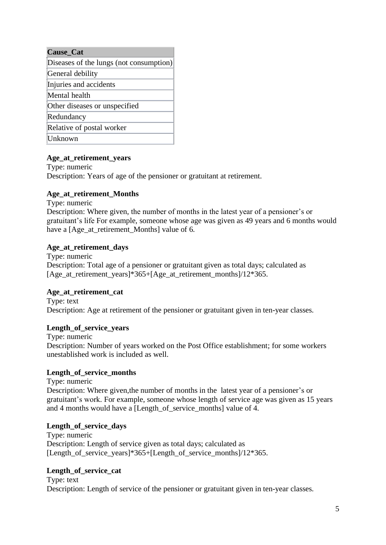| <b>Cause_Cat</b>                        |
|-----------------------------------------|
| Diseases of the lungs (not consumption) |
| General debility                        |
| Injuries and accidents                  |
| Mental health                           |
| Other diseases or unspecified           |
| Redundancy                              |
| Relative of postal worker               |
| Unknown                                 |

# **Age\_at\_retirement\_years**

Type: numeric Description: Years of age of the pensioner or gratuitant at retirement.

#### **Age\_at\_retirement\_Months**

Type: numeric

Description: Where given, the number of months in the latest year of a pensioner's or gratuitant's life For example, someone whose age was given as 49 years and 6 months would have a [Age\_at\_retirement\_Months] value of 6.

#### **Age\_at\_retirement\_days**

Type: numeric Description: Total age of a pensioner or gratuitant given as total days; calculated as [Age\_at\_retirement\_vears]\*365+[Age\_at\_retirement\_months]/12\*365.

# **Age\_at\_retirement\_cat**

Type: text Description: Age at retirement of the pensioner or gratuitant given in ten-year classes.

# **Length\_of\_service\_years**

Type: numeric Description: Number of years worked on the Post Office establishment; for some workers unestablished work is included as well.

# **Length\_of\_service\_months**

Type: numeric Description: Where given,the number of months in the latest year of a pensioner's or gratuitant's work. For example, someone whose length of service age was given as 15 years and 4 months would have a [Length of service months] value of 4.

# **Length\_of\_service\_days**

Type: numeric Description: Length of service given as total days; calculated as [Length\_of\_service\_years]\*365+[Length\_of\_service\_months]/12\*365.

# Length of service cat

Type: text Description: Length of service of the pensioner or gratuitant given in ten-year classes.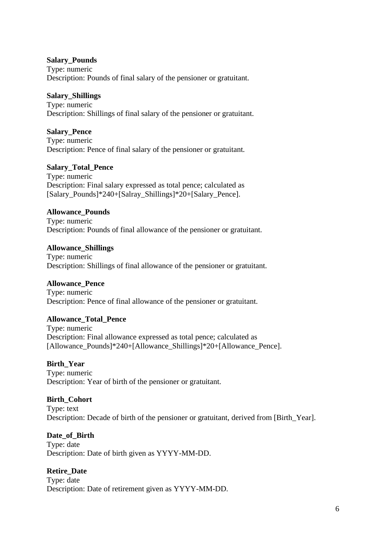#### **Salary\_Pounds**

Type: numeric Description: Pounds of final salary of the pensioner or gratuitant.

#### **Salary\_Shillings**

Type: numeric Description: Shillings of final salary of the pensioner or gratuitant.

#### **Salary\_Pence**

Type: numeric Description: Pence of final salary of the pensioner or gratuitant.

#### **Salary\_Total\_Pence**

Type: numeric Description: Final salary expressed as total pence; calculated as [Salary\_Pounds]\*240+[Salray\_Shillings]\*20+[Salary\_Pence].

#### **Allowance\_Pounds**

Type: numeric Description: Pounds of final allowance of the pensioner or gratuitant.

#### **Allowance\_Shillings**

Type: numeric Description: Shillings of final allowance of the pensioner or gratuitant.

# **Allowance\_Pence**

Type: numeric Description: Pence of final allowance of the pensioner or gratuitant.

#### **Allowance\_Total\_Pence**

Type: numeric Description: Final allowance expressed as total pence; calculated as [Allowance\_Pounds]\*240+[Allowance\_Shillings]\*20+[Allowance\_Pence].

#### **Birth\_Year**

Type: numeric Description: Year of birth of the pensioner or gratuitant.

#### **Birth\_Cohort**

Type: text Description: Decade of birth of the pensioner or gratuitant, derived from [Birth\_Year].

#### **Date\_of\_Birth**

Type: date Description: Date of birth given as YYYY-MM-DD.

# **Retire\_Date**

Type: date Description: Date of retirement given as YYYY-MM-DD.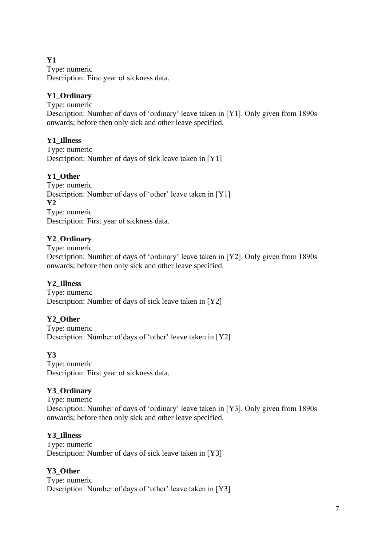# **Y1**

Type: numeric Description: First year of sickness data.

# **Y1\_Ordinary**

Type: numeric Description: Number of days of 'ordinary' leave taken in [Y1]. Only given from 1890s onwards; before then only sick and other leave specified.

# **Y1\_Illness**

Type: numeric Description: Number of days of sick leave taken in [Y1]

# **Y1\_Other**

Type: numeric Description: Number of days of 'other' leave taken in [Y1] **Y2** Type: numeric Description: First year of sickness data.

# **Y2\_Ordinary**

Type: numeric

Description: Number of days of 'ordinary' leave taken in [Y2]. Only given from 1890s onwards; before then only sick and other leave specified.

# **Y2\_Illness**

Type: numeric Description: Number of days of sick leave taken in [Y2]

# **Y2\_Other**

Type: numeric Description: Number of days of 'other' leave taken in [Y2]

# **Y3**

Type: numeric Description: First year of sickness data.

# **Y3\_Ordinary**

Type: numeric Description: Number of days of 'ordinary' leave taken in [Y3]. Only given from 1890s onwards; before then only sick and other leave specified.

# **Y3\_Illness**

Type: numeric Description: Number of days of sick leave taken in [Y3]

# **Y3\_Other**

Type: numeric Description: Number of days of 'other' leave taken in [Y3]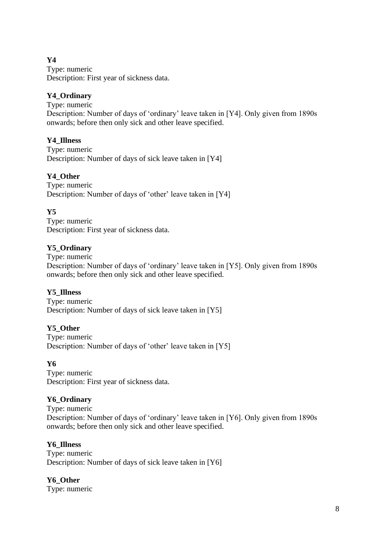# **Y4**

Type: numeric Description: First year of sickness data.

# **Y4\_Ordinary**

Type: numeric Description: Number of days of 'ordinary' leave taken in [Y4]. Only given from 1890s onwards; before then only sick and other leave specified.

# **Y4\_Illness**

Type: numeric Description: Number of days of sick leave taken in [Y4]

# **Y4\_Other**

Type: numeric Description: Number of days of 'other' leave taken in [Y4]

# **Y5**

Type: numeric Description: First year of sickness data.

# **Y5\_Ordinary**

Type: numeric Description: Number of days of 'ordinary' leave taken in [Y5]. Only given from 1890s onwards; before then only sick and other leave specified.

# **Y5\_Illness**

Type: numeric Description: Number of days of sick leave taken in [Y5]

# **Y5\_Other**

Type: numeric Description: Number of days of 'other' leave taken in [Y5]

# **Y6**

Type: numeric Description: First year of sickness data.

# **Y6\_Ordinary**

Type: numeric Description: Number of days of 'ordinary' leave taken in [Y6]. Only given from 1890s onwards; before then only sick and other leave specified.

# **Y6\_Illness**

Type: numeric Description: Number of days of sick leave taken in [Y6]

# **Y6\_Other**

Type: numeric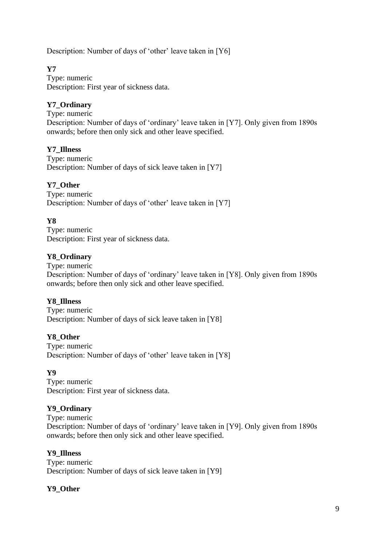Description: Number of days of 'other' leave taken in [Y6]

# **Y7**

Type: numeric Description: First year of sickness data.

# **Y7\_Ordinary**

Type: numeric Description: Number of days of 'ordinary' leave taken in [Y7]. Only given from 1890s onwards; before then only sick and other leave specified.

# **Y7\_Illness**

Type: numeric Description: Number of days of sick leave taken in [Y7]

# **Y7\_Other**

Type: numeric Description: Number of days of 'other' leave taken in [Y7]

# **Y8**

Type: numeric Description: First year of sickness data.

# **Y8\_Ordinary**

Type: numeric Description: Number of days of 'ordinary' leave taken in [Y8]. Only given from 1890s onwards; before then only sick and other leave specified.

# **Y8\_Illness**

Type: numeric Description: Number of days of sick leave taken in [Y8]

# **Y8\_Other**

Type: numeric Description: Number of days of 'other' leave taken in [Y8]

# **Y9**

Type: numeric Description: First year of sickness data.

# **Y9\_Ordinary**

Type: numeric Description: Number of days of 'ordinary' leave taken in [Y9]. Only given from 1890s onwards; before then only sick and other leave specified.

#### **Y9\_Illness**

Type: numeric Description: Number of days of sick leave taken in [Y9]

# **Y9\_Other**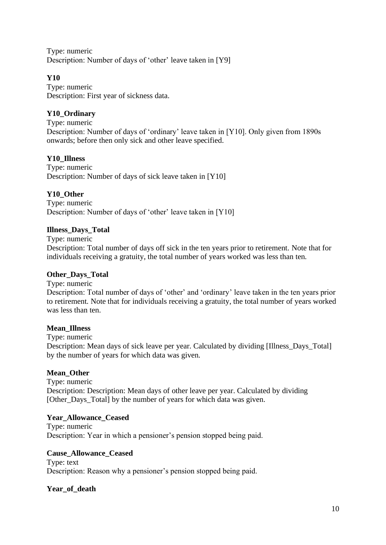Type: numeric Description: Number of days of 'other' leave taken in [Y9]

# **Y10**

Type: numeric Description: First year of sickness data.

# **Y10\_Ordinary**

Type: numeric Description: Number of days of 'ordinary' leave taken in [Y10]. Only given from 1890s onwards; before then only sick and other leave specified.

# **Y10\_Illness**

Type: numeric Description: Number of days of sick leave taken in [Y10]

# **Y10\_Other**

Type: numeric Description: Number of days of 'other' leave taken in [Y10]

# **Illness\_Days\_Total**

Type: numeric

Description: Total number of days off sick in the ten years prior to retirement. Note that for individuals receiving a gratuity, the total number of years worked was less than ten.

# **Other\_Days\_Total**

Type: numeric

Description: Total number of days of 'other' and 'ordinary' leave taken in the ten years prior to retirement. Note that for individuals receiving a gratuity, the total number of years worked was less than ten.

# **Mean\_Illness**

Type: numeric

Description: Mean days of sick leave per year. Calculated by dividing [Illness\_Days\_Total] by the number of years for which data was given.

# **Mean\_Other**

Type: numeric Description: Description: Mean days of other leave per year. Calculated by dividing [Other\_Days\_Total] by the number of years for which data was given.

# **Year\_Allowance\_Ceased**

Type: numeric Description: Year in which a pensioner's pension stopped being paid.

# **Cause\_Allowance\_Ceased**

Type: text Description: Reason why a pensioner's pension stopped being paid.

# **Year\_of\_death**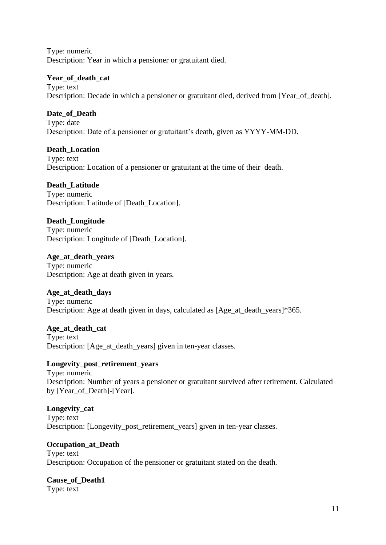Type: numeric Description: Year in which a pensioner or gratuitant died.

# **Year\_of\_death\_cat**

Type: text Description: Decade in which a pensioner or gratuitant died, derived from [Year of death].

# **Date\_of\_Death**

Type: date Description: Date of a pensioner or gratuitant's death, given as YYYY-MM-DD.

# **Death\_Location**

Type: text Description: Location of a pensioner or gratuitant at the time of their death.

# **Death\_Latitude**

Type: numeric Description: Latitude of [Death Location].

# **Death\_Longitude**

Type: numeric Description: Longitude of [Death\_Location].

**Age\_at\_death\_years** Type: numeric Description: Age at death given in years.

# **Age\_at\_death\_days**

Type: numeric Description: Age at death given in days, calculated as [Age\_at\_death\_years]\*365.

**Age\_at\_death\_cat**

Type: text Description: [Age\_at\_death\_years] given in ten-year classes.

# **Longevity\_post\_retirement\_years**

Type: numeric Description: Number of years a pensioner or gratuitant survived after retirement. Calculated by [Year\_of\_Death]-[Year].

# **Longevity\_cat**

Type: text Description: [Longevity\_post\_retirement\_years] given in ten-year classes.

#### **Occupation\_at\_Death** Type: text

Description: Occupation of the pensioner or gratuitant stated on the death.

**Cause\_of\_Death1** Type: text